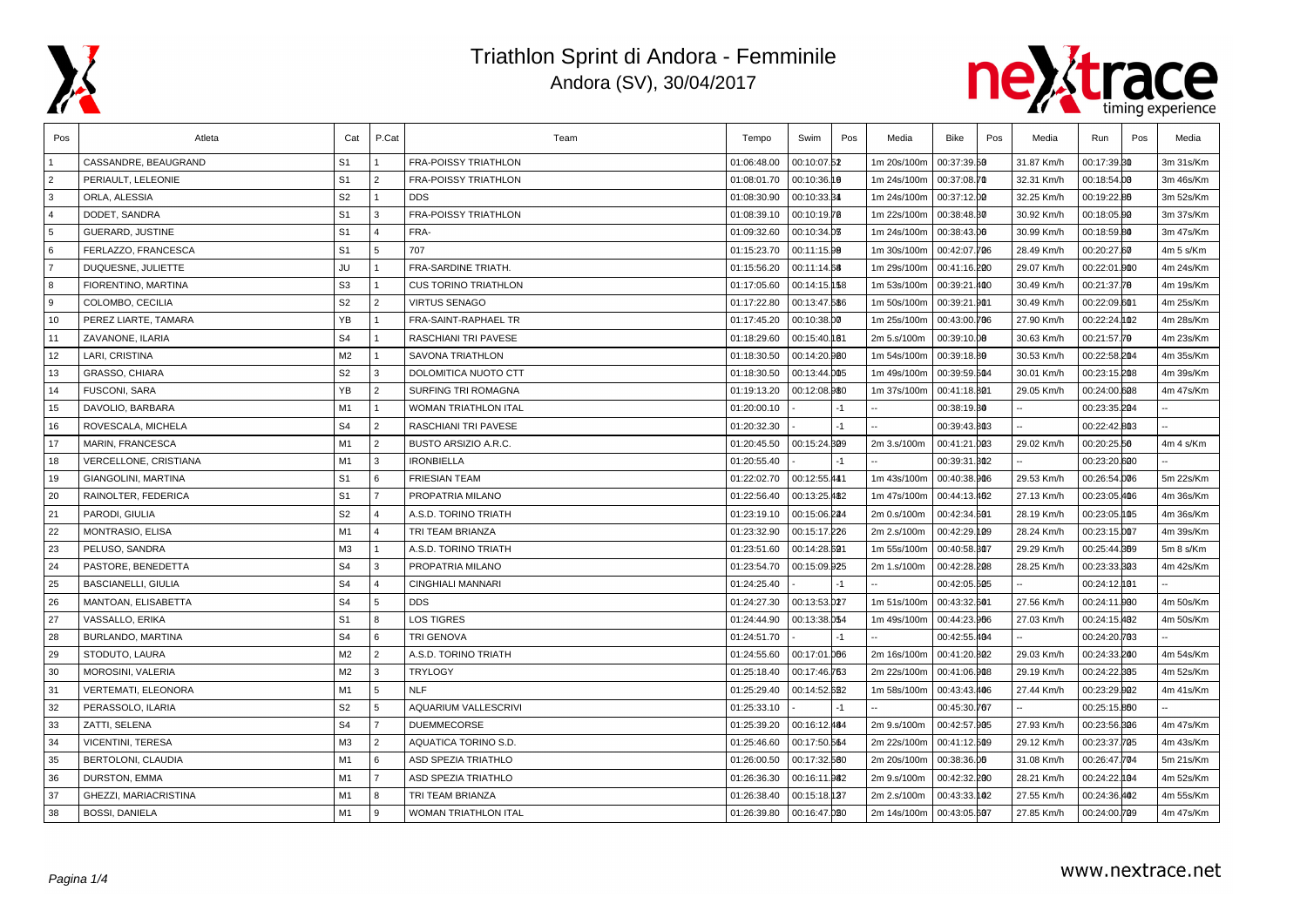



| Pos            | Atleta                     | Cat            | P.Cat          | Team                        | Tempo       | Swim         | Pos  | Media       | Bike         | Pos | Media      | Run          | Pos | Media     |
|----------------|----------------------------|----------------|----------------|-----------------------------|-------------|--------------|------|-------------|--------------|-----|------------|--------------|-----|-----------|
|                | CASSANDRE, BEAUGRAND       | S <sub>1</sub> |                | <b>FRA-POISSY TRIATHLON</b> | 01:06:48.00 | 00:10:07.52  |      | 1m 20s/100m | 00:37:39.50  |     | 31.87 Km/h | 00:17:39.30  |     | 3m 31s/Km |
| $\overline{2}$ | PERIAULT. LELEONIE         | S <sub>1</sub> | $\overline{2}$ | <b>FRA-POISSY TRIATHLON</b> | 01:08:01.70 | 00:10:36.10  |      | 1m 24s/100m | 00:37:08.70  |     | 32.31 Km/h | 00:18:54.00  |     | 3m 46s/Km |
| 3              | ORLA, ALESSIA              | S <sub>2</sub> | $\mathbf{1}$   | <b>DDS</b>                  | 01:08:30.90 | 00:10:33.34  |      | 1m 24s/100m | 00:37:12.00  |     | 32.25 Km/h | 00:19:22.86  |     | 3m 52s/Km |
| $\overline{4}$ | DODET, SANDRA              | S <sub>1</sub> | $\mathbf{B}$   | <b>FRA-POISSY TRIATHLON</b> | 01:08:39.10 | 00:10:19.78  |      | 1m 22s/100m | 00:38:48.30  |     | 30.92 Km/h | 00:18:05.90  |     | 3m 37s/Km |
| 5              | GUERARD, JUSTINE           | S <sub>1</sub> | $\overline{a}$ | FRA-                        | 01:09:32.60 | 00:10:34.03  |      | 1m 24s/100m | 00:38:43.00  |     | 30.99 Km/h | 00:18:59.80  |     | 3m 47s/Km |
| 6              | FERLAZZO, FRANCESCA        | S <sub>1</sub> | 5              | 707                         | 01:15:23.70 | 00:11:15.99  |      | 1m 30s/100m | 00:42:07.706 |     | 28.49 Km/h | 00:20:27.60  |     | 4m 5 s/Km |
| $\overline{7}$ | DUQUESNE, JULIETTE         | JU             | $\mathbf{1}$   | <b>FRA-SARDINE TRIATH.</b>  | 01:15:56.20 | 00:11:14.68  |      | 1m 29s/100m | 00:41:16.200 |     | 29.07 Km/h | 00:22:01.000 |     | 4m 24s/Km |
| 8              | FIORENTINO, MARTINA        | S <sub>3</sub> | $\mathbf{1}$   | <b>CUS TORINO TRIATHLON</b> | 01:17:05.60 | 00:14:15.158 |      | 1m 53s/100m | 00:39:21.400 |     | 30.49 Km/h | 00:21:37.78  |     | 4m 19s/Km |
| 9              | COLOMBO, CECILIA           | S <sub>2</sub> | $\overline{2}$ | <b>VIRTUS SENAGO</b>        | 01:17:22.80 | 00:13:47.586 |      | 1m 50s/100m | 00:39:21.901 |     | 30.49 Km/h | 00:22:09.601 |     | 4m 25s/Km |
| 10             | PEREZ LIARTE, TAMARA       | YB             | $\mathbf{1}$   | FRA-SAINT-RAPHAEL TR        | 01:17:45.20 | 00:10:38.00  |      | 1m 25s/100m | 00:43:00.706 |     | 27.90 Km/h | 00:22:24.102 |     | 4m 28s/Km |
| 11             | ZAVANONE, ILARIA           | S <sub>4</sub> | $\overline{1}$ | <b>RASCHIANI TRI PAVESE</b> | 01:18:29.60 | 00:15:40.081 |      | 2m 5.s/100m | 00:39:10.00  |     | 30.63 Km/h | 00:21:57.79  |     | 4m 23s/Km |
| 12             | LARI, CRISTINA             | M <sub>2</sub> | $\mathbf{1}$   | SAVONA TRIATHLON            | 01:18:30.50 | 00:14:20.980 |      | 1m 54s/100m | 00:39:18.89  |     | 30.53 Km/h | 00:22:58.204 |     | 4m 35s/Km |
| 13             | GRASSO, CHIARA             | S <sub>2</sub> | 3              | DOLOMITICA NUOTO CTT        | 01:18:30.50 | 00:13:44.005 |      | 1m 49s/100m | 00:39:59.504 |     | 30.01 Km/h | 00:23:15.208 |     | 4m 39s/Km |
| 14             | <b>FUSCONI, SARA</b>       | YB             | 2              | <b>SURFING TRI ROMAGNA</b>  | 01:19:13.20 | 00:12:08.980 |      | 1m 37s/100m | 00:41:18.801 |     | 29.05 Km/h | 00:24:00.608 |     | 4m 47s/Km |
| 15             | DAVOLIO, BARBARA           | M1             | $\mathbf{1}$   | WOMAN TRIATHLON ITAL        | 01:20:00.10 |              | $-1$ |             | 00:38:19.30  |     |            | 00:23:35.204 |     |           |
| 16             | ROVESCALA, MICHELA         | S <sub>4</sub> | 2              | <b>RASCHIANI TRI PAVESE</b> | 01:20:32.30 |              | $-1$ |             | 00:39:43.803 |     |            | 00:22:42.803 |     |           |
| 17             | MARIN, FRANCESCA           | M1             | $\overline{2}$ | BUSTO ARSIZIO A.R.C.        | 01:20:45.50 | 00:15:24.809 |      | 2m 3.s/100m | 00:41:21.003 |     | 29.02 Km/h | 00:20:25.56  |     | 4m 4 s/Km |
| 18             | VERCELLONE, CRISTIANA      | M1             | 3              | <b>IRONBIELLA</b>           | 01:20:55.40 |              |      |             | 00:39:31.802 |     |            | 00:23:20.600 |     |           |
| 19             | <b>GIANGOLINI, MARTINA</b> | S <sub>1</sub> | 6              | <b>FRIESIAN TEAM</b>        | 01:22:02.70 | 00:12:55.441 |      | 1m 43s/100m | 00:40:38.906 |     | 29.53 Km/h | 00:26:54.006 |     | 5m 22s/Km |
| 20             | RAINOLTER, FEDERICA        | S <sub>1</sub> | $\overline{7}$ | PROPATRIA MILANO            | 01:22:56.40 | 00:13:25.482 |      | 1m 47s/100m | 00:44:13.462 |     | 27.13 Km/h | 00:23:05.406 |     | 4m 36s/Km |
| 21             | PARODI, GIULIA             | S <sub>2</sub> | $\overline{4}$ | A.S.D. TORINO TRIATH        | 01:23:19.10 | 00:15:06.224 |      | 2m 0.s/100m | 00:42:34.601 |     | 28.19 Km/h | 00:23:05.065 |     | 4m 36s/Km |
| 22             | MONTRASIO, ELISA           | M1             | $\Delta$       | TRI TEAM BRIANZA            | 01:23:32.90 | 00:15:17.226 |      | 2m 2.s/100m | 00:42:29.109 |     | 28.24 Km/h | 00:23:15.007 |     | 4m 39s/Km |
| 23             | PELUSO, SANDRA             | M <sub>3</sub> | $\mathbf{1}$   | A.S.D. TORINO TRIATH        | 01:23:51.60 | 00:14:28.691 |      | 1m 55s/100m | 00:40:58.307 |     | 29.29 Km/h | 00:25:44.869 |     | 5m 8 s/Km |
| 24             | PASTORE, BENEDETTA         | S <sub>4</sub> | 3              | PROPATRIA MILANO            | 01:23:54.70 | 00:15:09.925 |      | 2m 1.s/100m | 00:42:28.208 |     | 28.25 Km/h | 00:23:33.303 |     | 4m 42s/Km |
| 25             | <b>BASCIANELLI, GIULIA</b> | S <sub>4</sub> | $\overline{4}$ | <b>CINGHIALI MANNARI</b>    | 01:24:25.40 |              |      |             | 00:42:05.505 |     |            | 00:24:12.001 |     |           |
| 26             | MANTOAN, ELISABETTA        | S <sub>4</sub> | 5              | <b>DDS</b>                  | 01:24:27.30 | 00:13:53.027 |      | 1m 51s/100m | 00:43:32.601 |     | 27.56 Km/h | 00:24:11.000 |     | 4m 50s/Km |
| 27             | VASSALLO, ERIKA            | S <sub>1</sub> | 8              | <b>LOS TIGRES</b>           | 01:24:44.90 | 00:13:38.054 |      | 1m 49s/100m | 00:44:23.966 |     | 27.03 Km/h | 00:24:15.402 |     | 4m 50s/Km |
| 28             | BURLANDO, MARTINA          | S <sub>4</sub> | 6              | <b>TRI GENOVA</b>           | 01:24:51.70 |              | $-1$ |             | 00:42:55.404 |     |            | 00:24:20.703 |     |           |
| 29             | STODUTO, LAURA             | M <sub>2</sub> | $\overline{2}$ | A.S.D. TORINO TRIATH        | 01:24:55.60 | 00:17:01.006 |      | 2m 16s/100m | 00:41:20.802 |     | 29.03 Km/h | 00:24:33.200 |     | 4m 54s/Km |
| 30             | MOROSINI, VALERIA          | M <sub>2</sub> | 3              | <b>TRYLOGY</b>              | 01:25:18.40 | 00:17:46.763 |      | 2m 22s/100m | 00:41:06.908 |     | 29.19 Km/h | 00:24:22.305 |     | 4m 52s/Km |
| 31             | VERTEMATI, ELEONORA        | M1             | 5              | <b>NLF</b>                  | 01:25:29.40 | 00:14:52.682 |      | 1m 58s/100m | 00:43:43.406 |     | 27.44 Km/h | 00:23:29.002 |     | 4m 41s/Km |
| 32             | PERASSOLO, ILARIA          | S <sub>2</sub> | 5              | AQUARIUM VALLESCRIVI        | 01:25:33.10 |              |      |             | 00:45:30.707 |     |            | 00:25:15.860 |     |           |
| 33             | ZATTI, SELENA              | S <sub>4</sub> | $\overline{7}$ | <b>DUEMMECORSE</b>          | 01:25:39.20 | 00:16:12.484 |      | 2m 9.s/100m | 00:42:57.905 |     | 27.93 Km/h | 00:23:56.306 |     | 4m 47s/Km |
| 34             | <b>VICENTINI, TERESA</b>   | M3             | $\overline{2}$ | AQUATICA TORINO S.D.        | 01:25:46.60 | 00:17:50.564 |      | 2m 22s/100m | 00:41:12.509 |     | 29.12 Km/h | 00:23:37.705 |     | 4m 43s/Km |
| 35             | BERTOLONI, CLAUDIA         | M <sub>1</sub> | 6              | <b>ASD SPEZIA TRIATHLO</b>  | 01:26:00.50 | 00:17:32.560 |      | 2m 20s/100m | 00:38:36.06  |     | 31.08 Km/h | 00:26:47.704 |     | 5m 21s/Km |
| 36             | DURSTON, EMMA              | M1             | $\overline{7}$ | ASD SPEZIA TRIATHLO         | 01:26:36.30 | 00:16:11.982 |      | 2m 9.s/100m | 00:42:32.200 |     | 28.21 Km/h | 00:24:22.104 |     | 4m 52s/Km |
| 37             | GHEZZI, MARIACRISTINA      | M <sub>1</sub> | 8              | TRI TEAM BRIANZA            | 01:26:38.40 | 00:15:18.127 |      | 2m 2.s/100m | 00:43:33.102 |     | 27.55 Km/h | 00:24:36.402 |     | 4m 55s/Km |
| 38             | <b>BOSSI, DANIELA</b>      | M <sub>1</sub> | 9              | WOMAN TRIATHLON ITAL        | 01:26:39.80 | 00:16:47.080 |      | 2m 14s/100m | 00:43:05.607 |     | 27.85 Km/h | 00:24:00.709 |     | 4m 47s/Km |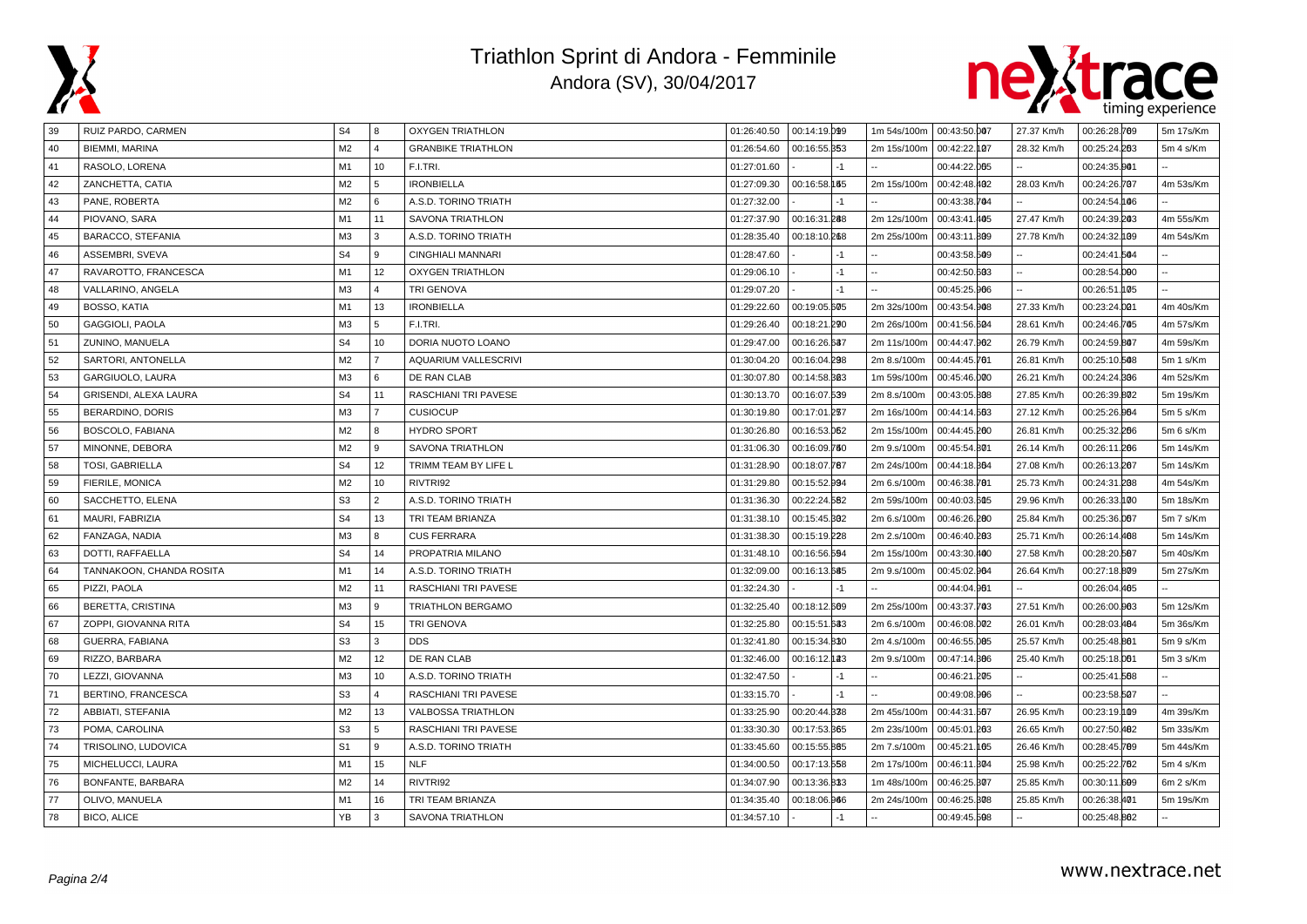



| 39 | RUIZ PARDO, CARMEN       | S <sub>4</sub> | 8              | <b>OXYGEN TRIATHLON</b>     |             | 01:26:40.50  00:14:19.099 | 1m 54s/100m | 00:43:50.007 | 27.37 Km/h | 00:26:28.769 | 5m 17s/Km |
|----|--------------------------|----------------|----------------|-----------------------------|-------------|---------------------------|-------------|--------------|------------|--------------|-----------|
| 40 | <b>BIEMMI, MARINA</b>    | M <sub>2</sub> | $\overline{a}$ | <b>GRANBIKE TRIATHLON</b>   | 01:26:54.60 | 00:16:55.353              | 2m 15s/100m | 00:42:22.107 | 28.32 Km/h | 00:25:24.263 | 5m 4 s/Km |
| 41 | RASOLO, LORENA           | M <sub>1</sub> | 10             | F.I.TRI.                    | 01:27:01.60 |                           |             | 00:44:22.005 |            | 00:24:35.001 |           |
| 42 | ZANCHETTA, CATIA         | M <sub>2</sub> | 5              | <b>IRONBIELLA</b>           | 01:27:09.30 | 00:16:58.155              | 2m 15s/100m | 00:42:48.402 | 28.03 Km/h | 00:24:26.707 | 4m 53s/Km |
| 43 | PANE, ROBERTA            | M <sub>2</sub> | 6              | A.S.D. TORINO TRIATH        | 01:27:32.00 | $-1$                      |             | 00:43:38.704 |            | 00:24:54.106 |           |
| 44 | PIOVANO, SARA            | M1             | 11             | <b>SAVONA TRIATHLON</b>     | 01:27:37.90 | 00:16:31.288              | 2m 12s/100m | 00:43:41.405 | 27.47 Km/h | 00:24:39.203 | 4m 55s/Km |
| 45 | BARACCO, STEFANIA        | M <sub>3</sub> | 3              | A.S.D. TORINO TRIATH        | 01:28:35.40 | 00:18:10.268              | 2m 25s/100m | 00:43:11.809 | 27.78 Km/h | 00:24:32.109 | 4m 54s/Km |
| 46 | ASSEMBRI, SVEVA          | S <sub>4</sub> | 9              | <b>CINGHIALI MANNARI</b>    | 01:28:47.60 | -1                        |             | 00:43:58.509 |            | 00:24:41.504 |           |
| 47 | RAVAROTTO, FRANCESCA     | M1             | 12             | <b>OXYGEN TRIATHLON</b>     | 01:29:06.10 | $-1$                      | ш,          | 00:42:50.603 |            | 00:28:54.000 |           |
| 48 | VALLARINO, ANGELA        | M <sub>3</sub> | $\overline{4}$ | TRI GENOVA                  | 01:29:07.20 | $-1$                      |             | 00:45:25.966 |            | 00:26:51.105 |           |
| 49 | BOSSO, KATIA             | M1             | 13             | <b>IRONBIELLA</b>           | 01:29:22.60 | 00:19:05.605              | 2m 32s/100m | 00:43:54.908 | 27.33 Km/h | 00:23:24.001 | 4m 40s/Km |
| 50 | <b>GAGGIOLI, PAOLA</b>   | M <sub>3</sub> | 5              | F.I.TRI.                    | 01:29:26.40 | 00:18:21.290              | 2m 26s/100m | 00:41:56.504 | 28.61 Km/h | 00:24:46.705 | 4m 57s/Km |
| 51 | ZUNINO, MANUELA          | S <sub>4</sub> | 10             | DORIA NUOTO LOANO           | 01:29:47.00 | 00:16:26.637              | 2m 11s/100m | 00:44:47.962 | 26.79 Km/h | 00:24:59.807 | 4m 59s/Km |
| 52 | SARTORI, ANTONELLA       | M <sub>2</sub> | $\overline{7}$ | AQUARIUM VALLESCRIVI        | 01:30:04.20 | 00:16:04.298              | 2m 8.s/100m | 00:44:45.761 | 26.81 Km/h | 00:25:10.508 | 5m 1 s/Km |
| 53 | GARGIUOLO, LAURA         | M3             | 6              | DE RAN CLAB                 | 01:30:07.80 | 00:14:58.303              | 1m 59s/100m | 00:45:46.000 | 26.21 Km/h | 00:24:24.806 | 4m 52s/Km |
| 54 | GRISENDI, ALEXA LAURA    | S <sub>4</sub> | 11             | RASCHIANI TRI PAVESE        | 01:30:13.70 | 00:16:07.539              | 2m 8.s/100m | 00:43:05.808 | 27.85 Km/h | 00:26:39.802 | 5m 19s/Km |
| 55 | <b>BERARDINO, DORIS</b>  | MЗ             | $\overline{7}$ | <b>CUSIOCUP</b>             | 01:30:19.80 | 00:17:01.237              | 2m 16s/100m | 00:44:14.563 | 27.12 Km/h | 00:25:26.964 | 5m 5 s/Km |
| 56 | BOSCOLO, FABIANA         | M <sub>2</sub> | 8              | <b>HYDRO SPORT</b>          | 01:30:26.80 | 00:16:53.062              | 2m 15s/100m | 00:44:45.200 | 26.81 Km/h | 00:25:32.266 | 5m 6 s/Km |
| 57 | MINONNE, DEBORA          | M <sub>2</sub> | 9              | <b>SAVONA TRIATHLON</b>     | 01:31:06.30 | 00:16:09.750              | 2m 9.s/100m | 00:45:54.801 | 26.14 Km/h | 00:26:11.206 | 5m 14s/Km |
| 58 | <b>TOSI, GABRIELLA</b>   | S <sub>4</sub> | 12             | TRIMM TEAM BY LIFE L        | 01:31:28.90 | 00:18:07.787              | 2m 24s/100m | 00:44:18.364 | 27.08 Km/h | 00:26:13.207 | 5m 14s/Km |
| 59 | FIERILE, MONICA          | M2             | 10             | RIVTRI92                    | 01:31:29.80 | 00:15:52.994              | 2m 6.s/100m | 00:46:38.781 | 25.73 Km/h | 00:24:31.208 | 4m 54s/Km |
| 60 | SACCHETTO, ELENA         | S <sub>3</sub> | $\overline{2}$ | A.S.D. TORINO TRIATH        | 01:31:36.30 | 00:22:24.582              | 2m 59s/100m | 00:40:03.605 | 29.96 Km/h | 00:26:33.100 | 5m 18s/Km |
| 61 | MAURI, FABRIZIA          | S <sub>4</sub> | 13             | TRI TEAM BRIANZA            | 01:31:38.10 | 00:15:45.302              | 2m 6.s/100m | 00:46:26.200 | 25.84 Km/h | 00:25:36.067 | 5m 7 s/Km |
| 62 | FANZAGA, NADIA           | M <sub>3</sub> | 8              | <b>CUS FERRARA</b>          | 01:31:38.30 | 00:15:19.228              | 2m 2.s/100m | 00:46:40.283 | 25.71 Km/h | 00:26:14.468 | 5m 14s/Km |
| 63 | DOTTI, RAFFAELLA         | S <sub>4</sub> | 14             | PROPATRIA MILANO            | 01:31:48.10 | 00:16:56.594              | 2m 15s/100m | 00:43:30.400 | 27.58 Km/h | 00:28:20.507 | 5m 40s/Km |
| 64 | TANNAKOON, CHANDA ROSITA | M1             | 14             | A.S.D. TORINO TRIATH        | 01:32:09.00 | 00:16:13.685              | 2m 9.s/100m | 00:45:02.964 | 26.64 Km/h | 00:27:18.809 | 5m 27s/Km |
| 65 | PIZZI, PAOLA             | M <sub>2</sub> | 11             | <b>RASCHIANI TRI PAVESE</b> | 01:32:24.30 | $-1$                      |             | 00:44:04.961 |            | 00:26:04.465 |           |
| 66 | BERETTA, CRISTINA        | M <sub>3</sub> | 9              | TRIATHLON BERGAMO           | 01:32:25.40 | 00:18:12.609              | 2m 25s/100m | 00:43:37.703 | 27.51 Km/h | 00:26:00.003 | 5m 12s/Km |
| 67 | ZOPPI, GIOVANNA RITA     | S <sub>4</sub> | 15             | <b>TRI GENOVA</b>           | 01:32:25.80 | 00:15:51.683              | 2m 6.s/100m | 00:46:08.002 | 26.01 Km/h | 00:28:03.484 | 5m 36s/Km |
| 68 | GUERRA, FABIANA          | S <sub>3</sub> | 3              | <b>DDS</b>                  | 01:32:41.80 | 00:15:34.830              | 2m 4.s/100m | 00:46:55.005 | 25.57 Km/h | 00:25:48.801 | 5m 9 s/Km |
| 69 | RIZZO, BARBARA           | M <sub>2</sub> | 12             | DE RAN CLAB                 | 01:32:46.00 | 00:16:12.123              | 2m 9.s/100m | 00:47:14.886 | 25.40 Km/h | 00:25:18.001 | 5m 3 s/Km |
| 70 | LEZZI, GIOVANNA          | M <sub>3</sub> | 10             | A.S.D. TORINO TRIATH        | 01:32:47.50 | $-1$                      |             | 00:46:21.205 |            | 00:25:41.568 |           |
| 71 | BERTINO, FRANCESCA       | S <sub>3</sub> | $\Delta$       | RASCHIANI TRI PAVESE        | 01:33:15.70 | $-1$                      |             | 00:49:08.996 |            | 00:23:58.507 |           |
| 72 | ABBIATI, STEFANIA        | M <sub>2</sub> | 13             | <b>VALBOSSA TRIATHLON</b>   | 01:33:25.90 | 00:20:44.838              | 2m 45s/100m | 00:44:31.567 | 26.95 Km/h | 00:23:19.109 | 4m 39s/Km |
| 73 | POMA, CAROLINA           | S <sub>3</sub> | 5              | RASCHIANI TRI PAVESE        | 01:33:30.30 | 00:17:53.365              | 2m 23s/100m | 00:45:01.203 | 26.65 Km/h | 00:27:50.482 | 5m 33s/Km |
| 74 | TRISOLINO, LUDOVICA      | S <sub>1</sub> | 9              | A.S.D. TORINO TRIATH        | 01:33:45.60 | 00:15:55.865              | 2m 7.s/100m | 00:45:21.105 | 26.46 Km/h | 00:28:45.789 | 5m 44s/Km |
| 75 | MICHELUCCI, LAURA        | M1             | 15             | <b>NLF</b>                  | 01:34:00.50 | 00:17:13.558              | 2m 17s/100m | 00:46:11.304 | 25.98 Km/h | 00:25:22.762 | 5m 4 s/Km |
| 76 | BONFANTE, BARBARA        | M <sub>2</sub> | 14             | RIVTRI92                    | 01:34:07.90 | 00:13:36.833              | 1m 48s/100m | 00:46:25.307 | 25.85 Km/h | 00:30:11.609 | 6m 2 s/Km |
| 77 | OLIVO, MANUELA           | M1             | 16             | TRI TEAM BRIANZA            | 01:34:35.40 | 00:18:06.966              | 2m 24s/100m | 00:46:25.308 | 25.85 Km/h | 00:26:38.401 | 5m 19s/Km |
| 78 | BICO, ALICE              | YB             | 3              | <b>SAVONA TRIATHLON</b>     | 01:34:57.10 | $-1$                      |             | 00:49:45.508 |            | 00:25:48.802 |           |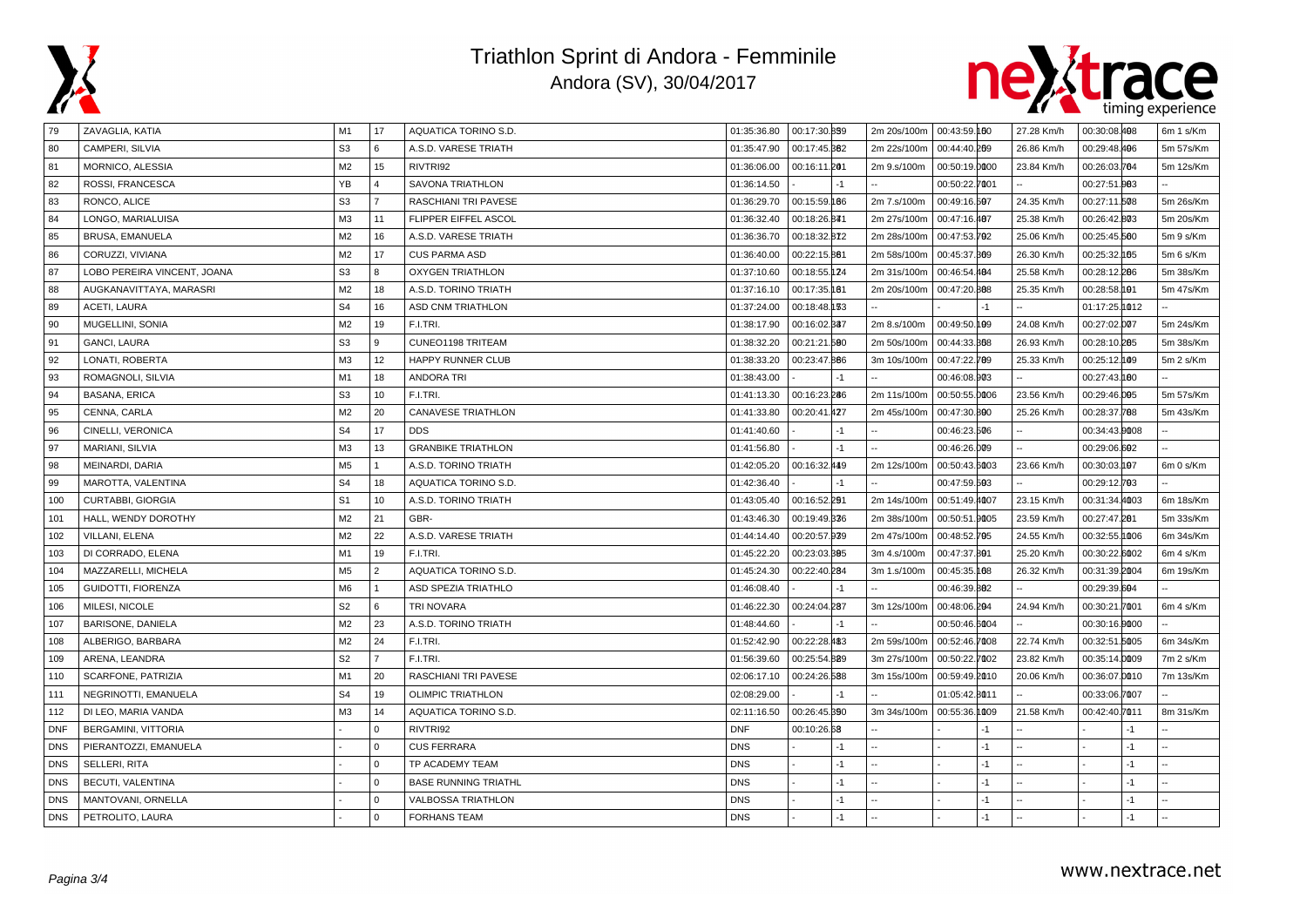



| 79         | ZAVAGLIA, KATIA             | M1             | 17             | AQUATICA TORINO S.D.        | 01:35:36.80 | 00:17:30.859 |      | 2m 20s/100m   00:43:59.160 |               |      | 27.28 Km/h | 00:30:08.408  |      | 6m 1 s/Km |
|------------|-----------------------------|----------------|----------------|-----------------------------|-------------|--------------|------|----------------------------|---------------|------|------------|---------------|------|-----------|
| 80         | CAMPERI, SILVIA             | S <sub>3</sub> | 6              | A.S.D. VARESE TRIATH        | 01:35:47.90 | 00:17:45.882 |      | 2m 22s/100m                | 00:44:40.269  |      | 26.86 Km/h | 00:29:48.496  |      | 5m 57s/Km |
| 81         | MORNICO, ALESSIA            | M2             | 15             | RIVTRI92                    | 01:36:06.00 | 00:16:11.201 |      | 2m 9.s/100m                | 00:50:19.0000 |      | 23.84 Km/h | 00:26:03.764  |      | 5m 12s/Km |
| 82         | ROSSI, FRANCESCA            | YB             | $\overline{4}$ | SAVONA TRIATHLON            | 01:36:14.50 |              | $-1$ |                            | 00:50:22.7001 |      |            | 00:27:51.003  |      |           |
| 83         | RONCO, ALICE                | S <sub>3</sub> | $\overline{7}$ | RASCHIANI TRI PAVESE        | 01:36:29.70 | 00:15:59.166 |      | 2m 7.s/100m                | 00:49:16.597  |      | 24.35 Km/h | 00:27:11.508  |      | 5m 26s/Km |
| 84         | LONGO, MARIALUISA           | M <sub>3</sub> | 11             | FLIPPER EIFFEL ASCOL        | 01:36:32.40 | 00:18:26.841 |      | 2m 27s/100m                | 00:47:16.487  |      | 25.38 Km/h | 00:26:42.803  |      | 5m 20s/Km |
| 85         | BRUSA, EMANUELA             | M <sub>2</sub> | 16             | A.S.D. VARESE TRIATH        | 01:36:36.70 | 00:18:32.872 |      | 2m 28s/100m                | 00:47:53.702  |      | 25.06 Km/h | 00:25:45.560  |      | 5m 9 s/Km |
| 86         | CORUZZI, VIVIANA            | M2             | 17             | <b>CUS PARMA ASD</b>        | 01:36:40.00 | 00:22:15.861 |      | 2m 58s/100m                | 00:45:37.869  |      | 26.30 Km/h | 00:25:32.165  |      | 5m 6 s/Km |
| 87         | LOBO PEREIRA VINCENT, JOANA | S <sub>3</sub> | 8              | <b>OXYGEN TRIATHLON</b>     | 01:37:10.60 | 00:18:55.124 |      | 2m 31s/100m                | 00:46:54.484  |      | 25.58 Km/h | 00:28:12.286  |      | 5m 38s/Km |
| 88         | AUGKANAVITTAYA, MARASRI     | M <sub>2</sub> | 18             | A.S.D. TORINO TRIATH        | 01:37:16.10 | 00:17:35.181 |      | 2m 20s/100m                | 00:47:20.888  |      | 25.35 Km/h | 00:28:58.191  |      | 5m 47s/Km |
| 89         | ACETI, LAURA                | S <sub>4</sub> | 16             | ASD CNM TRIATHLON           | 01:37:24.00 | 00:18:48.133 |      |                            |               | $-1$ |            | 01:17:25.1012 |      |           |
| 90         | MUGELLINI, SONIA            | M2             | 19             | F.I.TRI.                    | 01:38:17.90 | 00:16:02.837 |      | 2m 8.s/100m                | 00:49:50.199  |      | 24.08 Km/h | 00:27:02.007  |      | 5m 24s/Km |
| 91         | <b>GANCI, LAURA</b>         | S <sub>3</sub> | 9              | CUNEO1198 TRITEAM           | 01:38:32.20 | 00:21:21.580 |      | 2m 50s/100m                | 00:44:33.368  |      | 26.93 Km/h | 00:28:10.285  |      | 5m 38s/Km |
| 92         | LONATI, ROBERTA             | M <sub>3</sub> | 12             | HAPPY RUNNER CLUB           | 01:38:33.20 | 00:23:47.866 |      | 3m 10s/100m                | 00:47:22.789  |      | 25.33 Km/h | 00:25:12.109  |      | 5m 2 s/Km |
| 93         | ROMAGNOLI, SILVIA           | M <sub>1</sub> | 18             | <b>ANDORA TRI</b>           | 01:38:43.00 |              | $-1$ |                            | 00:46:08.903  |      |            | 00:27:43.180  |      |           |
| 94         | <b>BASANA, ERICA</b>        | S <sub>3</sub> | 10             | F.I.TRI.                    | 01:41:13.30 | 00:16:23.286 |      | 2m 11s/100m                | 00:50:55.0006 |      | 23.56 Km/h | 00:29:46.005  |      | 5m 57s/Km |
| 95         | CENNA, CARLA                | M <sub>2</sub> | 20             | <b>CANAVESE TRIATHLON</b>   | 01:41:33.80 | 00:20:41.427 |      | 2m 45s/100m                | 00:47:30.800  |      | 25.26 Km/h | 00:28:37.788  |      | 5m 43s/Km |
| 96         | CINELLI, VERONICA           | S <sub>4</sub> | 17             | <b>DDS</b>                  | 01:41:40.60 |              | $-1$ |                            | 00:46:23.506  |      |            | 00:34:43.0008 |      |           |
| 97         | MARIANI, SILVIA             | M <sub>3</sub> | 13             | <b>GRANBIKE TRIATHLON</b>   | 01:41:56.80 |              | $-1$ |                            | 00:46:26.009  |      |            | 00:29:06.602  |      |           |
| 98         | MEINARDI, DARIA             | M <sub>5</sub> | $\overline{1}$ | A.S.D. TORINO TRIATH        | 01:42:05.20 | 00:16:32.449 |      | 2m 12s/100m                | 00:50:43.6003 |      | 23.66 Km/h | 00:30:03.197  |      | 6m 0 s/Km |
| 99         | MAROTTA, VALENTINA          | S <sub>4</sub> | 18             | AQUATICA TORINO S.D.        | 01:42:36.40 |              | $-1$ |                            | 00:47:59.503  |      |            | 00:29:12.703  |      |           |
| 100        | <b>CURTABBI, GIORGIA</b>    | S <sub>1</sub> | 10             | A.S.D. TORINO TRIATH        | 01:43:05.40 | 00:16:52.291 |      | 2m 14s/100m                | 00:51:49.4007 |      | 23.15 Km/h | 00:31:34.4003 |      | 6m 18s/Km |
| 101        | HALL, WENDY DOROTHY         | M2             | 21             | GBR-                        | 01:43:46.30 | 00:19:49.336 |      | 2m 38s/100m                | 00:50:51.9005 |      | 23.59 Km/h | 00:27:47.281  |      | 5m 33s/Km |
| 102        | VILLANI, ELENA              | M <sub>2</sub> | 22             | A.S.D. VARESE TRIATH        | 01:44:14.40 | 00:20:57.939 |      | 2m 47s/100m                | 00:48:52.705  |      | 24.55 Km/h | 00:32:55.1006 |      | 6m 34s/Km |
| 103        | DI CORRADO, ELENA           | M <sub>1</sub> | 19             | F.I.TRI.                    | 01:45:22.20 | 00:23:03.395 |      | 3m 4.s/100m                | 00:47:37.801  |      | 25.20 Km/h | 00:30:22.6002 |      | 6m 4 s/Km |
| 104        | MAZZARELLI, MICHELA         | M <sub>5</sub> | $\overline{2}$ | AQUATICA TORINO S.D.        | 01:45:24.30 | 00:22:40.284 |      | 3m 1.s/100m                | 00:45:35.108  |      | 26.32 Km/h | 00:31:39.2004 |      | 6m 19s/Km |
| 105        | GUIDOTTI, FIORENZA          | M6             | $\overline{1}$ | <b>ASD SPEZIA TRIATHLO</b>  | 01:46:08.40 |              |      |                            | 00:46:39.882  |      |            | 00:29:39.604  |      |           |
| 106        | MILESI, NICOLE              | S <sub>2</sub> | 6              | TRI NOVARA                  | 01:46:22.30 | 00:24:04.287 |      | 3m 12s/100m                | 00:48:06.204  |      | 24.94 Km/h | 00:30:21.7001 |      | 6m 4 s/Km |
| 107        | BARISONE, DANIELA           | M <sub>2</sub> | 23             | A.S.D. TORINO TRIATH        | 01:48:44.60 |              |      |                            | 00:50:46.6004 |      |            | 00:30:16.0000 |      |           |
| 108        | ALBERIGO, BARBARA           | M2             | 24             | F.I.TRI.                    | 01:52:42.90 | 00:22:28.483 |      | 2m 59s/100m                | 00:52:46.7008 |      | 22.74 Km/h | 00:32:51.5005 |      | 6m 34s/Km |
| 109        | ARENA, LEANDRA              | S <sub>2</sub> | $\overline{7}$ | F.I.TRI.                    | 01:56:39.60 | 00:25:54.889 |      | 3m 27s/100m                | 00:50:22.7002 |      | 23.82 Km/h | 00:35:14.0009 |      | 7m 2 s/Km |
| 110        | SCARFONE, PATRIZIA          | M1             | 20             | <b>RASCHIANI TRI PAVESE</b> | 02:06:17.10 | 00:24:26.588 |      | 3m 15s/100m                | 00:59:49.2010 |      | 20.06 Km/h | 00:36:07.0010 |      | 7m 13s/Km |
| 111        | NEGRINOTTI, EMANUELA        | S <sub>4</sub> | 19             | <b>OLIMPIC TRIATHLON</b>    | 02:08:29.00 |              |      |                            | 01:05:42.8011 |      |            | 00:33:06.7007 |      |           |
| 112        | DI LEO, MARIA VANDA         | M3             | 14             | AQUATICA TORINO S.D.        | 02:11:16.50 | 00:26:45.890 |      | 3m 34s/100m                | 00:55:36.1009 |      | 21.58 Km/h | 00:42:40.7011 |      | 8m 31s/Km |
| <b>DNF</b> | <b>BERGAMINI, VITTORIA</b>  |                | $\overline{0}$ | RIVTRI92                    | <b>DNF</b>  | 00:10:26.68  |      |                            |               | $-1$ |            |               | $-1$ |           |
| <b>DNS</b> | PIERANTOZZI, EMANUELA       |                | $\Omega$       | <b>CUS FERRARA</b>          | <b>DNS</b>  |              | $-1$ |                            |               | $-1$ |            |               | $-1$ |           |
| <b>DNS</b> | SELLERI, RITA               |                | $\overline{0}$ | TP ACADEMY TEAM             | <b>DNS</b>  |              | $-1$ |                            |               | $-1$ |            |               | $-1$ |           |
| <b>DNS</b> | BECUTI, VALENTINA           |                | $\Omega$       | <b>BASE RUNNING TRIATHL</b> | <b>DNS</b>  |              | $-1$ |                            |               | $-1$ |            |               | $-1$ |           |
| <b>DNS</b> | MANTOVANI, ORNELLA          |                | l 0            | VALBOSSA TRIATHLON          | <b>DNS</b>  |              | $-1$ |                            |               | $-1$ |            |               | $-1$ |           |
| <b>DNS</b> | PETROLITO, LAURA            |                | l 0            | <b>FORHANS TEAM</b>         | <b>DNS</b>  |              | $-1$ |                            |               | $-1$ |            |               | $-1$ |           |